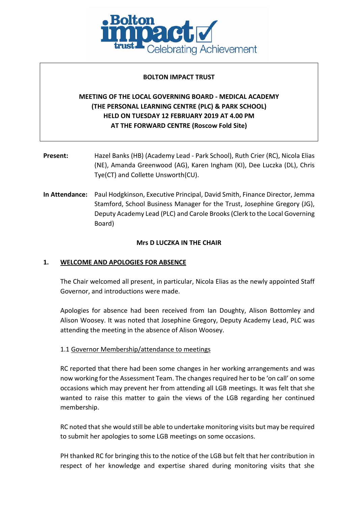

#### **BOLTON IMPACT TRUST**

# **MEETING OF THE LOCAL GOVERNING BOARD - MEDICAL ACADEMY (THE PERSONAL LEARNING CENTRE (PLC) & PARK SCHOOL) HELD ON TUESDAY 12 FEBRUARY 2019 AT 4.00 PM AT THE FORWARD CENTRE (Roscow Fold Site)**

- **Present:** Hazel Banks (HB) (Academy Lead Park School), Ruth Crier (RC), Nicola Elias (NE), Amanda Greenwood (AG), Karen Ingham (KI), Dee Luczka (DL), Chris Tye(CT) and Collette Unsworth(CU).
- **In Attendance:** Paul Hodgkinson, Executive Principal, David Smith, Finance Director, Jemma Stamford, School Business Manager for the Trust, Josephine Gregory (JG), Deputy Academy Lead (PLC) and Carole Brooks (Clerk to the Local Governing Board)

#### **Mrs D LUCZKA IN THE CHAIR**

### **1. WELCOME AND APOLOGIES FOR ABSENCE**

The Chair welcomed all present, in particular, Nicola Elias as the newly appointed Staff Governor, and introductions were made.

Apologies for absence had been received from Ian Doughty, Alison Bottomley and Alison Woosey. It was noted that Josephine Gregory, Deputy Academy Lead, PLC was attending the meeting in the absence of Alison Woosey.

### 1.1 Governor Membership/attendance to meetings

RC reported that there had been some changes in her working arrangements and was now working for the Assessment Team. The changes required her to be 'on call' on some occasions which may prevent her from attending all LGB meetings. It was felt that she wanted to raise this matter to gain the views of the LGB regarding her continued membership.

RC noted that she would still be able to undertake monitoring visits but may be required to submit her apologies to some LGB meetings on some occasions.

PH thanked RC for bringing this to the notice of the LGB but felt that her contribution in respect of her knowledge and expertise shared during monitoring visits that she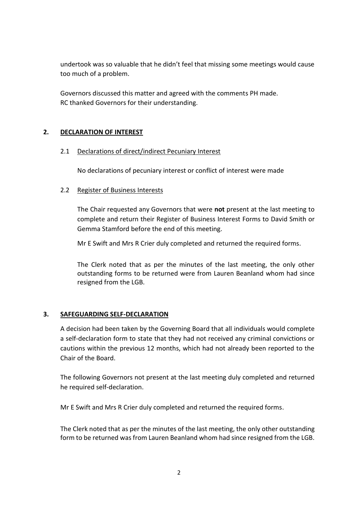undertook was so valuable that he didn't feel that missing some meetings would cause too much of a problem.

Governors discussed this matter and agreed with the comments PH made. RC thanked Governors for their understanding.

## **2. DECLARATION OF INTEREST**

### 2.1 Declarations of direct/indirect Pecuniary Interest

No declarations of pecuniary interest or conflict of interest were made

#### 2.2 Register of Business Interests

The Chair requested any Governors that were **not** present at the last meeting to complete and return their Register of Business Interest Forms to David Smith or Gemma Stamford before the end of this meeting.

Mr E Swift and Mrs R Crier duly completed and returned the required forms.

The Clerk noted that as per the minutes of the last meeting, the only other outstanding forms to be returned were from Lauren Beanland whom had since resigned from the LGB.

### **3. SAFEGUARDING SELF-DECLARATION**

A decision had been taken by the Governing Board that all individuals would complete a self-declaration form to state that they had not received any criminal convictions or cautions within the previous 12 months, which had not already been reported to the Chair of the Board.

The following Governors not present at the last meeting duly completed and returned he required self-declaration.

Mr E Swift and Mrs R Crier duly completed and returned the required forms.

The Clerk noted that as per the minutes of the last meeting, the only other outstanding form to be returned was from Lauren Beanland whom had since resigned from the LGB.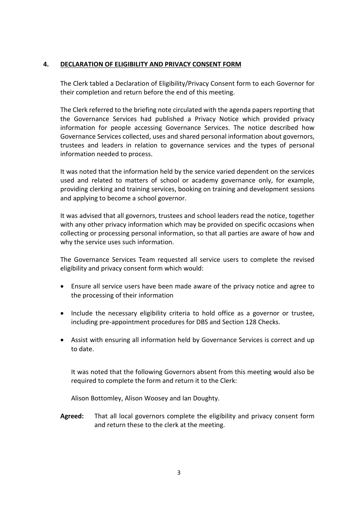#### **4. DECLARATION OF ELIGIBILITY AND PRIVACY CONSENT FORM**

The Clerk tabled a Declaration of Eligibility/Privacy Consent form to each Governor for their completion and return before the end of this meeting.

The Clerk referred to the briefing note circulated with the agenda papers reporting that the Governance Services had published a Privacy Notice which provided privacy information for people accessing Governance Services. The notice described how Governance Services collected, uses and shared personal information about governors, trustees and leaders in relation to governance services and the types of personal information needed to process.

It was noted that the information held by the service varied dependent on the services used and related to matters of school or academy governance only, for example, providing clerking and training services, booking on training and development sessions and applying to become a school governor.

It was advised that all governors, trustees and school leaders read the notice, together with any other privacy information which may be provided on specific occasions when collecting or processing personal information, so that all parties are aware of how and why the service uses such information.

The Governance Services Team requested all service users to complete the revised eligibility and privacy consent form which would:

- Ensure all service users have been made aware of the privacy notice and agree to the processing of their information
- Include the necessary eligibility criteria to hold office as a governor or trustee, including pre-appointment procedures for DBS and Section 128 Checks.
- Assist with ensuring all information held by Governance Services is correct and up to date.

It was noted that the following Governors absent from this meeting would also be required to complete the form and return it to the Clerk:

Alison Bottomley, Alison Woosey and Ian Doughty.

**Agreed:** That all local governors complete the eligibility and privacy consent form and return these to the clerk at the meeting.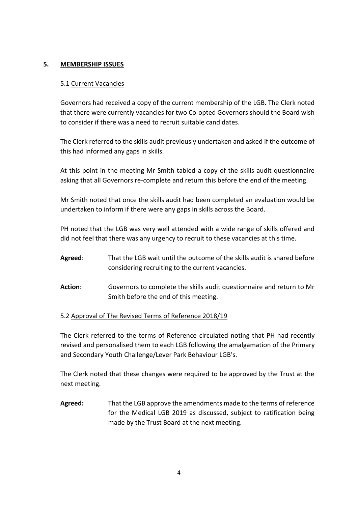### **5. MEMBERSHIP ISSUES**

#### 5.1 Current Vacancies

Governors had received a copy of the current membership of the LGB. The Clerk noted that there were currently vacancies for two Co-opted Governors should the Board wish to consider if there was a need to recruit suitable candidates.

The Clerk referred to the skills audit previously undertaken and asked if the outcome of this had informed any gaps in skills.

At this point in the meeting Mr Smith tabled a copy of the skills audit questionnaire asking that all Governors re-complete and return this before the end of the meeting.

Mr Smith noted that once the skills audit had been completed an evaluation would be undertaken to inform if there were any gaps in skills across the Board.

PH noted that the LGB was very well attended with a wide range of skills offered and did not feel that there was any urgency to recruit to these vacancies at this time.

- **Agreed**: That the LGB wait until the outcome of the skills audit is shared before considering recruiting to the current vacancies.
- **Action**: Governors to complete the skills audit questionnaire and return to Mr Smith before the end of this meeting.

### 5.2 Approval of The Revised Terms of Reference 2018/19

The Clerk referred to the terms of Reference circulated noting that PH had recently revised and personalised them to each LGB following the amalgamation of the Primary and Secondary Youth Challenge/Lever Park Behaviour LGB's.

The Clerk noted that these changes were required to be approved by the Trust at the next meeting.

**Agreed:** That the LGB approve the amendments made to the terms of reference for the Medical LGB 2019 as discussed, subject to ratification being made by the Trust Board at the next meeting.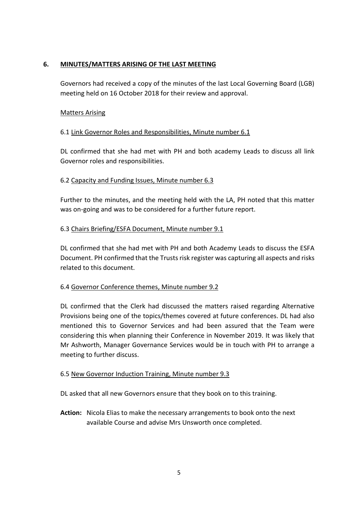### **6. MINUTES/MATTERS ARISING OF THE LAST MEETING**

Governors had received a copy of the minutes of the last Local Governing Board (LGB) meeting held on 16 October 2018 for their review and approval.

## Matters Arising

## 6.1 Link Governor Roles and Responsibilities, Minute number 6.1

DL confirmed that she had met with PH and both academy Leads to discuss all link Governor roles and responsibilities.

## 6.2 Capacity and Funding Issues, Minute number 6.3

Further to the minutes, and the meeting held with the LA, PH noted that this matter was on-going and was to be considered for a further future report.

### 6.3 Chairs Briefing/ESFA Document, Minute number 9.1

DL confirmed that she had met with PH and both Academy Leads to discuss the ESFA Document. PH confirmed that the Trusts risk register was capturing all aspects and risks related to this document.

### 6.4 Governor Conference themes, Minute number 9.2

DL confirmed that the Clerk had discussed the matters raised regarding Alternative Provisions being one of the topics/themes covered at future conferences. DL had also mentioned this to Governor Services and had been assured that the Team were considering this when planning their Conference in November 2019. It was likely that Mr Ashworth, Manager Governance Services would be in touch with PH to arrange a meeting to further discuss.

### 6.5 New Governor Induction Training, Minute number 9.3

DL asked that all new Governors ensure that they book on to this training.

**Action:** Nicola Elias to make the necessary arrangements to book onto the next available Course and advise Mrs Unsworth once completed.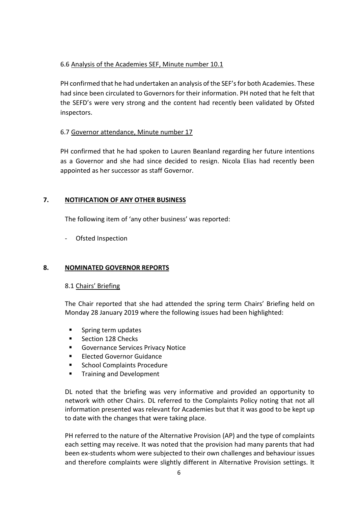### 6.6 Analysis of the Academies SEF, Minute number 10.1

PH confirmed that he had undertaken an analysis of the SEF's for both Academies. These had since been circulated to Governors for their information. PH noted that he felt that the SEFD's were very strong and the content had recently been validated by Ofsted inspectors.

## 6.7 Governor attendance, Minute number 17

PH confirmed that he had spoken to Lauren Beanland regarding her future intentions as a Governor and she had since decided to resign. Nicola Elias had recently been appointed as her successor as staff Governor.

## **7. NOTIFICATION OF ANY OTHER BUSINESS**

The following item of 'any other business' was reported:

- Ofsted Inspection

### **8. NOMINATED GOVERNOR REPORTS**

### 8.1 Chairs' Briefing

The Chair reported that she had attended the spring term Chairs' Briefing held on Monday 28 January 2019 where the following issues had been highlighted:

- **Spring term updates**
- Section 128 Checks
- Governance Services Privacy Notice
- Elected Governor Guidance
- School Complaints Procedure
- Training and Development

DL noted that the briefing was very informative and provided an opportunity to network with other Chairs. DL referred to the Complaints Policy noting that not all information presented was relevant for Academies but that it was good to be kept up to date with the changes that were taking place.

PH referred to the nature of the Alternative Provision (AP) and the type of complaints each setting may receive. It was noted that the provision had many parents that had been ex-students whom were subjected to their own challenges and behaviour issues and therefore complaints were slightly different in Alternative Provision settings. It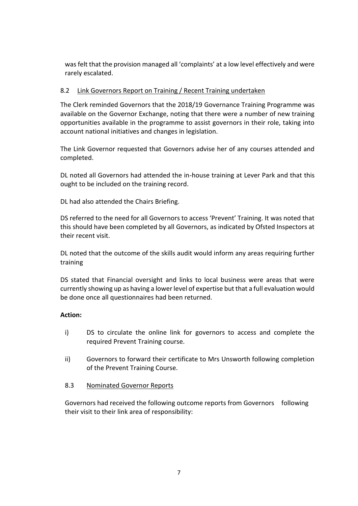was felt that the provision managed all 'complaints' at a low level effectively and were rarely escalated.

#### 8.2 Link Governors Report on Training / Recent Training undertaken

The Clerk reminded Governors that the 2018/19 Governance Training Programme was available on the Governor Exchange, noting that there were a number of new training opportunities available in the programme to assist governors in their role, taking into account national initiatives and changes in legislation.

The Link Governor requested that Governors advise her of any courses attended and completed.

DL noted all Governors had attended the in-house training at Lever Park and that this ought to be included on the training record.

DL had also attended the Chairs Briefing.

DS referred to the need for all Governors to access 'Prevent' Training. It was noted that this should have been completed by all Governors, as indicated by Ofsted Inspectors at their recent visit.

DL noted that the outcome of the skills audit would inform any areas requiring further training

DS stated that Financial oversight and links to local business were areas that were currently showing up as having a lower level of expertise but that a full evaluation would be done once all questionnaires had been returned.

#### **Action:**

- i) DS to circulate the online link for governors to access and complete the required Prevent Training course.
- ii) Governors to forward their certificate to Mrs Unsworth following completion of the Prevent Training Course.

#### 8.3 Nominated Governor Reports

Governors had received the following outcome reports from Governors following their visit to their link area of responsibility: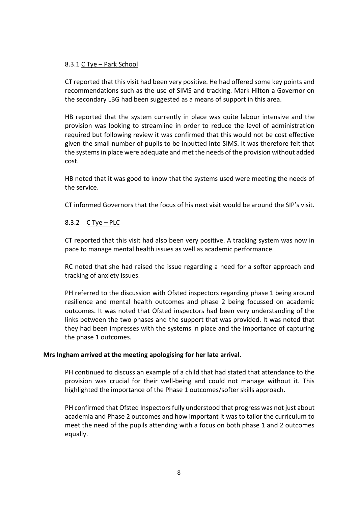#### 8.3.1 C Tye – Park School

CT reported that this visit had been very positive. He had offered some key points and recommendations such as the use of SIMS and tracking. Mark Hilton a Governor on the secondary LBG had been suggested as a means of support in this area.

HB reported that the system currently in place was quite labour intensive and the provision was looking to streamline in order to reduce the level of administration required but following review it was confirmed that this would not be cost effective given the small number of pupils to be inputted into SIMS. It was therefore felt that the systems in place were adequate and met the needs of the provision without added cost.

HB noted that it was good to know that the systems used were meeting the needs of the service.

CT informed Governors that the focus of his next visit would be around the SIP's visit.

### 8.3.2 C Tye – PLC

CT reported that this visit had also been very positive. A tracking system was now in pace to manage mental health issues as well as academic performance.

RC noted that she had raised the issue regarding a need for a softer approach and tracking of anxiety issues.

PH referred to the discussion with Ofsted inspectors regarding phase 1 being around resilience and mental health outcomes and phase 2 being focussed on academic outcomes. It was noted that Ofsted inspectors had been very understanding of the links between the two phases and the support that was provided. It was noted that they had been impresses with the systems in place and the importance of capturing the phase 1 outcomes.

#### **Mrs Ingham arrived at the meeting apologising for her late arrival.**

PH continued to discuss an example of a child that had stated that attendance to the provision was crucial for their well-being and could not manage without it. This highlighted the importance of the Phase 1 outcomes/softer skills approach.

PH confirmed that Ofsted Inspectors fully understood that progress was not just about academia and Phase 2 outcomes and how important it was to tailor the curriculum to meet the need of the pupils attending with a focus on both phase 1 and 2 outcomes equally.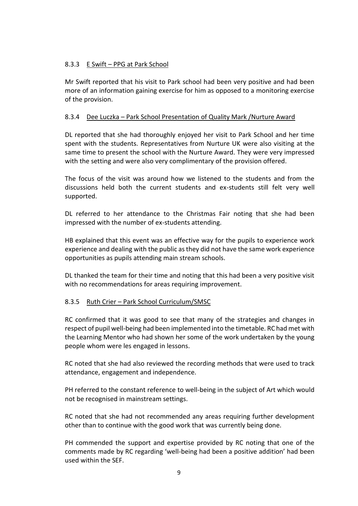### 8.3.3 E Swift – PPG at Park School

Mr Swift reported that his visit to Park school had been very positive and had been more of an information gaining exercise for him as opposed to a monitoring exercise of the provision.

### 8.3.4 Dee Luczka – Park School Presentation of Quality Mark /Nurture Award

DL reported that she had thoroughly enjoyed her visit to Park School and her time spent with the students. Representatives from Nurture UK were also visiting at the same time to present the school with the Nurture Award. They were very impressed with the setting and were also very complimentary of the provision offered.

The focus of the visit was around how we listened to the students and from the discussions held both the current students and ex-students still felt very well supported.

DL referred to her attendance to the Christmas Fair noting that she had been impressed with the number of ex-students attending.

HB explained that this event was an effective way for the pupils to experience work experience and dealing with the public as they did not have the same work experience opportunities as pupils attending main stream schools.

DL thanked the team for their time and noting that this had been a very positive visit with no recommendations for areas requiring improvement.

### 8.3.5 Ruth Crier – Park School Curriculum/SMSC

RC confirmed that it was good to see that many of the strategies and changes in respect of pupil well-being had been implemented into the timetable. RC had met with the Learning Mentor who had shown her some of the work undertaken by the young people whom were les engaged in lessons.

RC noted that she had also reviewed the recording methods that were used to track attendance, engagement and independence.

PH referred to the constant reference to well-being in the subject of Art which would not be recognised in mainstream settings.

RC noted that she had not recommended any areas requiring further development other than to continue with the good work that was currently being done.

PH commended the support and expertise provided by RC noting that one of the comments made by RC regarding 'well-being had been a positive addition' had been used within the SEF.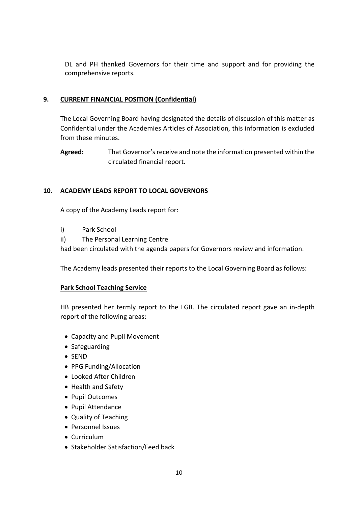DL and PH thanked Governors for their time and support and for providing the comprehensive reports.

### **9. CURRENT FINANCIAL POSITION (Confidential)**

The Local Governing Board having designated the details of discussion of this matter as Confidential under the Academies Articles of Association, this information is excluded from these minutes.

**Agreed:** That Governor's receive and note the information presented within the circulated financial report.

## **10. ACADEMY LEADS REPORT TO LOCAL GOVERNORS**

A copy of the Academy Leads report for:

- i) Park School
- ii) The Personal Learning Centre

had been circulated with the agenda papers for Governors review and information.

The Academy leads presented their reports to the Local Governing Board as follows:

### **Park School Teaching Service**

HB presented her termly report to the LGB. The circulated report gave an in-depth report of the following areas:

- Capacity and Pupil Movement
- Safeguarding
- SEND
- PPG Funding/Allocation
- Looked After Children
- Health and Safety
- Pupil Outcomes
- Pupil Attendance
- Quality of Teaching
- Personnel Issues
- Curriculum
- Stakeholder Satisfaction/Feed back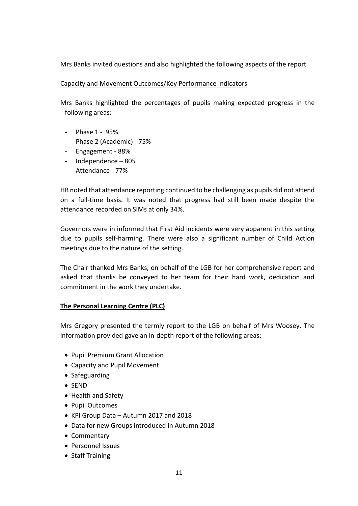Mrs Banks invited questions and also highlighted the following aspects of the report

### Capacity and Movement Outcomes/Key Performance Indicators

Mrs Banks highlighted the percentages of pupils making expected progress in the following areas:

- Phase 1 95%
- Phase 2 (Academic) 75%
- Engagement 88%
- Independence 805
- Attendance 77%

HB noted that attendance reporting continued to be challenging as pupils did not attend on a full-time basis. It was noted that progress had still been made despite the attendance recorded on SIMs at only 34%.

Governors were in informed that First Aid incidents were very apparent in this setting due to pupils self-harming. There were also a significant number of Child Action meetings due to the nature of the setting.

The Chair thanked Mrs Banks, on behalf of the LGB for her comprehensive report and asked that thanks be conveyed to her team for their hard work, dedication and commitment in the work they undertake.

### **The Personal Learning Centre (PLC)**

Mrs Gregory presented the termly report to the LGB on behalf of Mrs Woosey. The information provided gave an in-depth report of the following areas:

- Pupil Premium Grant Allocation
- Capacity and Pupil Movement
- Safeguarding
- SEND
- Health and Safety
- Pupil Outcomes
- KPI Group Data Autumn 2017 and 2018
- Data for new Groups introduced in Autumn 2018
- Commentary
- Personnel Issues
- Staff Training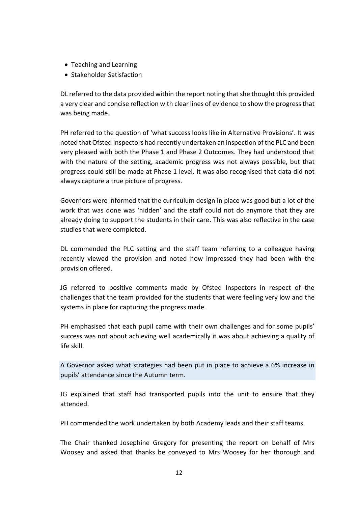- Teaching and Learning
- Stakeholder Satisfaction

DL referred to the data provided within the report noting that she thought this provided a very clear and concise reflection with clear lines of evidence to show the progress that was being made.

PH referred to the question of 'what success looks like in Alternative Provisions'. It was noted that Ofsted Inspectors had recently undertaken an inspection of the PLC and been very pleased with both the Phase 1 and Phase 2 Outcomes. They had understood that with the nature of the setting, academic progress was not always possible, but that progress could still be made at Phase 1 level. It was also recognised that data did not always capture a true picture of progress.

Governors were informed that the curriculum design in place was good but a lot of the work that was done was 'hidden' and the staff could not do anymore that they are already doing to support the students in their care. This was also reflective in the case studies that were completed.

DL commended the PLC setting and the staff team referring to a colleague having recently viewed the provision and noted how impressed they had been with the provision offered.

JG referred to positive comments made by Ofsted Inspectors in respect of the challenges that the team provided for the students that were feeling very low and the systems in place for capturing the progress made.

PH emphasised that each pupil came with their own challenges and for some pupils' success was not about achieving well academically it was about achieving a quality of life skill.

A Governor asked what strategies had been put in place to achieve a 6% increase in pupils' attendance since the Autumn term.

JG explained that staff had transported pupils into the unit to ensure that they attended.

PH commended the work undertaken by both Academy leads and their staff teams.

The Chair thanked Josephine Gregory for presenting the report on behalf of Mrs Woosey and asked that thanks be conveyed to Mrs Woosey for her thorough and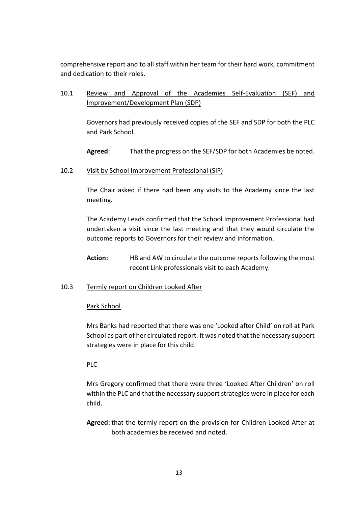comprehensive report and to all staff within her team for their hard work, commitment and dedication to their roles.

## 10.1 Review and Approval of the Academies Self-Evaluation (SEF) and Improvement/Development Plan (SDP)

Governors had previously received copies of the SEF and SDP for both the PLC and Park School.

**Agreed**: That the progress on the SEF/SDP for both Academies be noted.

#### 10.2 Visit by School Improvement Professional (SIP)

The Chair asked if there had been any visits to the Academy since the last meeting.

The Academy Leads confirmed that the School Improvement Professional had undertaken a visit since the last meeting and that they would circulate the outcome reports to Governors for their review and information.

**Action:** HB and AW to circulate the outcome reports following the most recent Link professionals visit to each Academy.

### 10.3 Termly report on Children Looked After

#### Park School

Mrs Banks had reported that there was one 'Looked after Child' on roll at Park School as part of her circulated report. It was noted that the necessary support strategies were in place for this child.

#### PLC

Mrs Gregory confirmed that there were three 'Looked After Children' on roll within the PLC and that the necessary support strategies were in place for each child.

**Agreed:** that the termly report on the provision for Children Looked After at both academies be received and noted.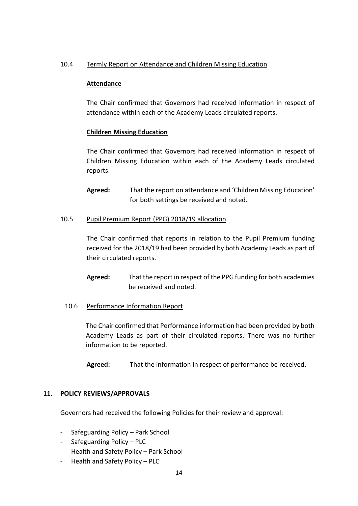#### 10.4 Termly Report on Attendance and Children Missing Education

#### **Attendance**

The Chair confirmed that Governors had received information in respect of attendance within each of the Academy Leads circulated reports.

#### **Children Missing Education**

The Chair confirmed that Governors had received information in respect of Children Missing Education within each of the Academy Leads circulated reports.

**Agreed:** That the report on attendance and 'Children Missing Education' for both settings be received and noted.

#### 10.5 Pupil Premium Report (PPG) 2018/19 allocation

The Chair confirmed that reports in relation to the Pupil Premium funding received for the 2018/19 had been provided by both Academy Leads as part of their circulated reports.

- **Agreed:** That the report in respect of the PPG funding for both academies be received and noted.
- 10.6 Performance Information Report

The Chair confirmed that Performance information had been provided by both Academy Leads as part of their circulated reports. There was no further information to be reported.

**Agreed:** That the information in respect of performance be received.

#### **11. POLICY REVIEWS/APPROVALS**

Governors had received the following Policies for their review and approval:

- Safeguarding Policy Park School
- Safeguarding Policy PLC
- Health and Safety Policy Park School
- Health and Safety Policy PLC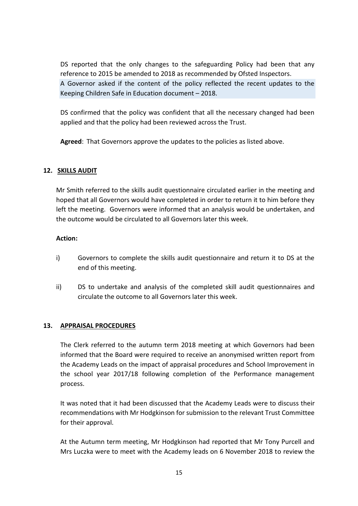DS reported that the only changes to the safeguarding Policy had been that any reference to 2015 be amended to 2018 as recommended by Ofsted Inspectors.

A Governor asked if the content of the policy reflected the recent updates to the Keeping Children Safe in Education document – 2018.

DS confirmed that the policy was confident that all the necessary changed had been applied and that the policy had been reviewed across the Trust.

**Agreed**: That Governors approve the updates to the policies as listed above.

## **12. SKILLS AUDIT**

Mr Smith referred to the skills audit questionnaire circulated earlier in the meeting and hoped that all Governors would have completed in order to return it to him before they left the meeting. Governors were informed that an analysis would be undertaken, and the outcome would be circulated to all Governors later this week.

### **Action:**

- i) Governors to complete the skills audit questionnaire and return it to DS at the end of this meeting.
- ii) DS to undertake and analysis of the completed skill audit questionnaires and circulate the outcome to all Governors later this week.

### **13. APPRAISAL PROCEDURES**

The Clerk referred to the autumn term 2018 meeting at which Governors had been informed that the Board were required to receive an anonymised written report from the Academy Leads on the impact of appraisal procedures and School Improvement in the school year 2017/18 following completion of the Performance management process.

It was noted that it had been discussed that the Academy Leads were to discuss their recommendations with Mr Hodgkinson for submission to the relevant Trust Committee for their approval.

At the Autumn term meeting, Mr Hodgkinson had reported that Mr Tony Purcell and Mrs Luczka were to meet with the Academy leads on 6 November 2018 to review the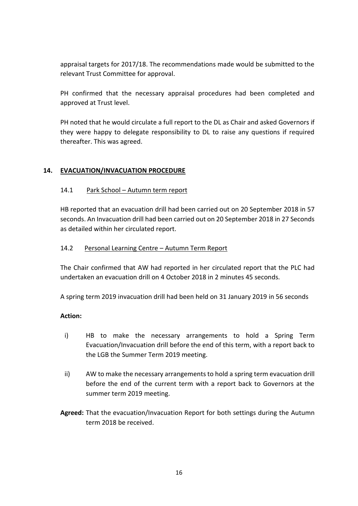appraisal targets for 2017/18. The recommendations made would be submitted to the relevant Trust Committee for approval.

PH confirmed that the necessary appraisal procedures had been completed and approved at Trust level.

PH noted that he would circulate a full report to the DL as Chair and asked Governors if they were happy to delegate responsibility to DL to raise any questions if required thereafter. This was agreed.

## **14. EVACUATION/INVACUATION PROCEDURE**

### 14.1 Park School – Autumn term report

HB reported that an evacuation drill had been carried out on 20 September 2018 in 57 seconds. An Invacuation drill had been carried out on 20 September 2018 in 27 Seconds as detailed within her circulated report.

### 14.2 Personal Learning Centre – Autumn Term Report

The Chair confirmed that AW had reported in her circulated report that the PLC had undertaken an evacuation drill on 4 October 2018 in 2 minutes 45 seconds.

A spring term 2019 invacuation drill had been held on 31 January 2019 in 56 seconds

### **Action:**

- i) HB to make the necessary arrangements to hold a Spring Term Evacuation/Invacuation drill before the end of this term, with a report back to the LGB the Summer Term 2019 meeting.
- ii) AW to make the necessary arrangements to hold a spring term evacuation drill before the end of the current term with a report back to Governors at the summer term 2019 meeting.
- **Agreed:** That the evacuation/Invacuation Report for both settings during the Autumn term 2018 be received.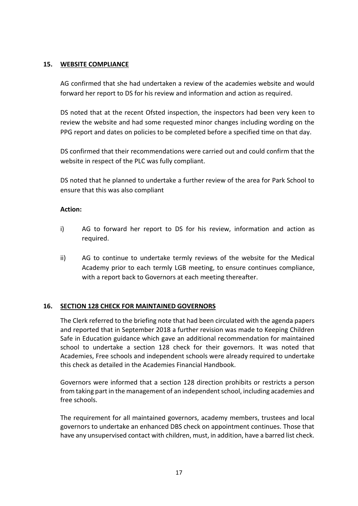#### **15. WEBSITE COMPLIANCE**

AG confirmed that she had undertaken a review of the academies website and would forward her report to DS for his review and information and action as required.

DS noted that at the recent Ofsted inspection, the inspectors had been very keen to review the website and had some requested minor changes including wording on the PPG report and dates on policies to be completed before a specified time on that day.

DS confirmed that their recommendations were carried out and could confirm that the website in respect of the PLC was fully compliant.

DS noted that he planned to undertake a further review of the area for Park School to ensure that this was also compliant

### **Action:**

- i) AG to forward her report to DS for his review, information and action as required.
- ii) AG to continue to undertake termly reviews of the website for the Medical Academy prior to each termly LGB meeting, to ensure continues compliance, with a report back to Governors at each meeting thereafter.

### **16. SECTION 128 CHECK FOR MAINTAINED GOVERNORS**

The Clerk referred to the briefing note that had been circulated with the agenda papers and reported that in September 2018 a further revision was made to Keeping Children Safe in Education guidance which gave an additional recommendation for maintained school to undertake a section 128 check for their governors. It was noted that Academies, Free schools and independent schools were already required to undertake this check as detailed in the Academies Financial Handbook.

Governors were informed that a section 128 direction prohibits or restricts a person from taking part in the management of an independent school, including academies and free schools.

The requirement for all maintained governors, academy members, trustees and local governors to undertake an enhanced DBS check on appointment continues. Those that have any unsupervised contact with children, must, in addition, have a barred list check.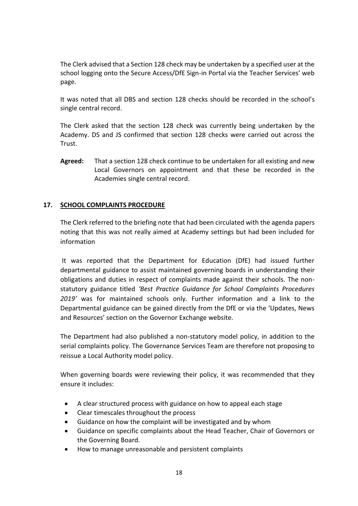The Clerk advised that a Section 128 check may be undertaken by a specified user at the school logging onto the Secure Access/DfE Sign-in Portal via the Teacher Services' web page.

It was noted that all DBS and section 128 checks should be recorded in the school's single central record.

The Clerk asked that the section 128 check was currently being undertaken by the Academy. DS and JS confirmed that section 128 checks were carried out across the Trust.

**Agreed:** That a section 128 check continue to be undertaken for all existing and new Local Governors on appointment and that these be recorded in the Academies single central record.

## **17. SCHOOL COMPLAINTS PROCEDURE**

The Clerk referred to the briefing note that had been circulated with the agenda papers noting that this was not really aimed at Academy settings but had been included for information

It was reported that the Department for Education (DfE) had issued further departmental guidance to assist maintained governing boards in understanding their obligations and duties in respect of complaints made against their schools. The nonstatutory guidance titled *'Best Practice Guidance for School Complaints Procedures 2019'* was for maintained schools only. Further information and a link to the Departmental guidance can be gained directly from the DfE or via the 'Updates, News and Resources' section on the Governor Exchange website.

The Department had also published a non-statutory model policy, in addition to the serial complaints policy. The Governance Services Team are therefore not proposing to reissue a Local Authority model policy.

When governing boards were reviewing their policy, it was recommended that they ensure it includes:

- A clear structured process with guidance on how to appeal each stage
- Clear timescales throughout the process
- Guidance on how the complaint will be investigated and by whom
- Guidance on specific complaints about the Head Teacher, Chair of Governors or the Governing Board.
- How to manage unreasonable and persistent complaints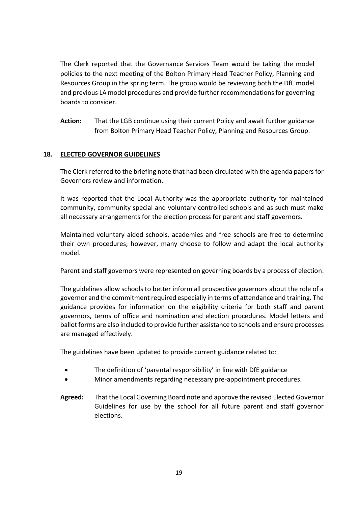The Clerk reported that the Governance Services Team would be taking the model policies to the next meeting of the Bolton Primary Head Teacher Policy, Planning and Resources Group in the spring term. The group would be reviewing both the DfE model and previous LA model procedures and provide further recommendations for governing boards to consider.

**Action:** That the LGB continue using their current Policy and await further guidance from Bolton Primary Head Teacher Policy, Planning and Resources Group.

## **18. ELECTED GOVERNOR GUIDELINES**

The Clerk referred to the briefing note that had been circulated with the agenda papers for Governors review and information.

It was reported that the Local Authority was the appropriate authority for maintained community, community special and voluntary controlled schools and as such must make all necessary arrangements for the election process for parent and staff governors.

Maintained voluntary aided schools, academies and free schools are free to determine their own procedures; however, many choose to follow and adapt the local authority model.

Parent and staff governors were represented on governing boards by a process of election.

The guidelines allow schools to better inform all prospective governors about the role of a governor and the commitment required especially in terms of attendance and training. The guidance provides for information on the eligibility criteria for both staff and parent governors, terms of office and nomination and election procedures. Model letters and ballot forms are also included to provide further assistance to schools and ensure processes are managed effectively.

The guidelines have been updated to provide current guidance related to:

- The definition of 'parental responsibility' in line with DfE guidance
- Minor amendments regarding necessary pre-appointment procedures.
- **Agreed:** That the Local Governing Board note and approve the revised Elected Governor Guidelines for use by the school for all future parent and staff governor elections.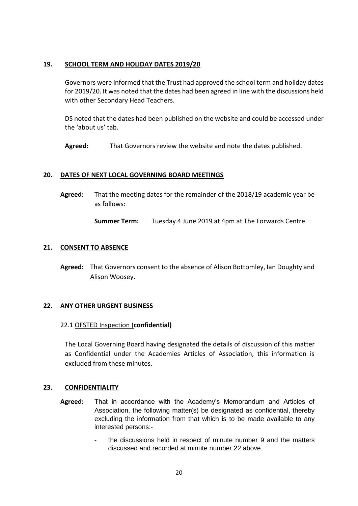#### **19. SCHOOL TERM AND HOLIDAY DATES 2019/20**

Governors were informed that the Trust had approved the school term and holiday dates for 2019/20. It was noted that the dates had been agreed in line with the discussions held with other Secondary Head Teachers.

DS noted that the dates had been published on the website and could be accessed under the 'about us' tab.

**Agreed:** That Governors review the website and note the dates published.

#### **20. DATES OF NEXT LOCAL GOVERNING BOARD MEETINGS**

**Agreed:** That the meeting dates for the remainder of the 2018/19 academic year be as follows:

**Summer Term:** Tuesday 4 June 2019 at 4pm at The Forwards Centre

#### **21. CONSENT TO ABSENCE**

**Agreed:** That Governors consent to the absence of Alison Bottomley, Ian Doughty and Alison Woosey.

#### **22. ANY OTHER URGENT BUSINESS**

#### 22.1 OFSTED Inspection (**confidential)**

The Local Governing Board having designated the details of discussion of this matter as Confidential under the Academies Articles of Association, this information is excluded from these minutes.

#### **23. CONFIDENTIALITY**

- **Agreed:** That in accordance with the Academy's Memorandum and Articles of Association, the following matter(s) be designated as confidential, thereby excluding the information from that which is to be made available to any interested persons:
	- the discussions held in respect of minute number 9 and the matters discussed and recorded at minute number 22 above.